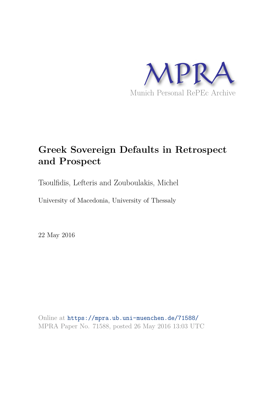

# **Greek Sovereign Defaults in Retrospect and Prospect**

Tsoulfidis, Lefteris and Zouboulakis, Michel

University of Macedonia, University of Thessaly

22 May 2016

Online at https://mpra.ub.uni-muenchen.de/71588/ MPRA Paper No. 71588, posted 26 May 2016 13:03 UTC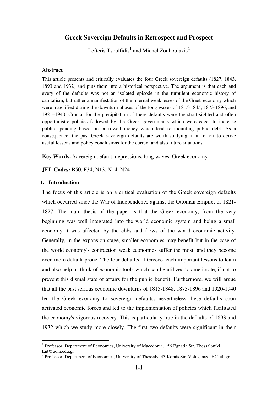# **Greek Sovereign Defaults in Retrospect and Prospect**

Lefteris Tsoulfidis<sup>1</sup> and Michel Zouboulakis<sup>2</sup>

## **Abstract**

This article presents and critically evaluates the four Greek sovereign defaults (1827, 1843, 1893 and 1932) and puts them into a historical perspective. The argument is that each and every of the defaults was not an isolated episode in the turbulent economic history of capitalism, but rather a manifestation of the internal weaknesses of the Greek economy which were magnified during the downturn phases of the long waves of 1815-1845, 1873-1896, and 1921–1940. Crucial for the precipitation of these defaults were the short-sighted and often opportunistic policies followed by the Greek governments which were eager to increase public spending based on borrowed money which lead to mounting public debt. As a consequence, the past Greek sovereign defaults are worth studying in an effort to derive useful lessons and policy conclusions for the current and also future situations.

**Key Words:** Sovereign default, depressions, long waves, Greek economy

**JEL Codes:** B50, F34, N13, N14, Ν24

# **1. Introduction**

The focus of this article is on a critical evaluation of the Greek sovereign defaults which occurred since the War of Independence against the Ottoman Empire, of 1821- 1827. The main thesis of the paper is that the Greek economy, from the very beginning was well integrated into the world economic system and being a small economy it was affected by the ebbs and flows of the world economic activity. Generally, in the expansion stage, smaller economies may benefit but in the case of the world economy's contraction weak economies suffer the most, and they become even more default-prone. The four defaults of Greece teach important lessons to learn and also help us think of economic tools which can be utilized to ameliorate, if not to prevent this dismal state of affairs for the public benefit. Furthermore, we will argue that all the past serious economic downturns of 1815-1848, 1873-1896 and 1920-1940 led the Greek economy to sovereign defaults; nevertheless these defaults soon activated economic forces and led to the implementation of policies which facilitated the economy's vigorous recovery. This is particularly true in the defaults of 1893 and 1932 which we study more closely. The first two defaults were significant in their

-

<sup>&</sup>lt;sup>1</sup> Professor, Department of Economics, University of Macedonia, 156 Egnatia Str. Thessaloniki,

Lnt@uom.edu.gr

<sup>&</sup>lt;sup>2</sup> Professor, Department of Economics, University of Thessaly, 43 Korais Str. Volos, mzoub@uth.gr.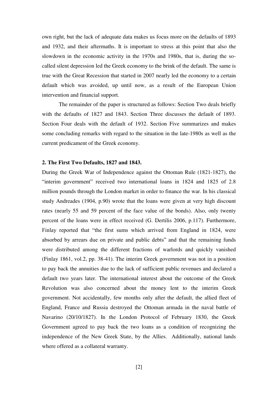own right, but the lack of adequate data makes us focus more on the defaults of 1893 and 1932, and their aftermaths. It is important to stress at this point that also the slowdown in the economic activity in the 1970s and 1980s, that is, during the socalled silent depression led the Greek economy to the brink of the default. The same is true with the Great Recession that started in 2007 nearly led the economy to a certain default which was avoided, up until now, as a result of the European Union intervention and financial support.

 The remainder of the paper is structured as follows: Section Two deals briefly with the defaults of 1827 and 1843. Section Three discusses the default of 1893. Section Four deals with the default of 1932. Section Five summarizes and makes some concluding remarks with regard to the situation in the late-1980s as well as the current predicament of the Greek economy.

#### **2. The First Two Defaults, 1827 and 1843.**

During the Greek War of Independence against the Ottoman Rule (1821-1827), the "interim government" received two international loans in 1824 and 1825 of 2.8 million pounds through the London market in order to finance the war. In his classical study Andreades (1904, p.90) wrote that the loans were given at very high discount rates (nearly 55 and 59 percent of the face value of the bonds). Also, only twenty percent of the loans were in effect received (G. Dertilis 2006, p.117). Furthermore, Finlay reported that "the first sums which arrived from England in 1824, were absorbed by arrears due on private and public debts" and that the remaining funds were distributed among the different fractions of warlords and quickly vanished (Finlay 1861, vol.2, pp. 38-41). The interim Greek government was not in a position to pay back the annuities due to the lack of sufficient public revenues and declared a default two years later. The international interest about the outcome of the Greek Revolution was also concerned about the money lent to the interim Greek government. Not accidentally, few months only after the default, the allied fleet of England, France and Russia destroyed the Ottoman armada in the naval battle of Navarino (20/10/1827). In the London Protocol of February 1830, the Greek Government agreed to pay back the two loans as a condition of recognizing the independence of the New Greek State, by the Allies. Additionally, national lands where offered as a collateral warranty.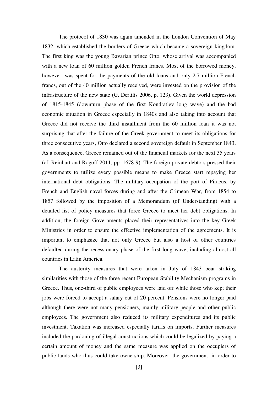The protocol of 1830 was again amended in the London Convention of May 1832, which established the borders of Greece which became a sovereign kingdom. The first king was the young Bavarian prince Otto, whose arrival was accompanied with a new loan of 60 million golden French francs. Most of the borrowed money, however, was spent for the payments of the old loans and only 2.7 million French francs, out of the 40 million actually received, were invested on the provision of the infrastructure of the new state (G. Dertilis 2006, p. 123). Given the world depression of 1815-1845 (downturn phase of the first Kondratiev long wave) and the bad economic situation in Greece especially in 1840s and also taking into account that Greece did not receive the third installment from the 60 million loan it was not surprising that after the failure of the Greek government to meet its obligations for three consecutive years, Otto declared a second sovereign default in September 1843. As a consequence, Greece remained out of the financial markets for the next 35 years (cf. Reinhart and Rogoff 2011, pp. 1678-9). The foreign private debtors pressed their governments to utilize every possible means to make Greece start repaying her international debt obligations. The military occupation of the port of Piraeus, by French and English naval forces during and after the Crimean War, from 1854 to 1857 followed by the imposition of a Memorandum (of Understanding) with a detailed list of policy measures that force Greece to meet her debt obligations. In addition, the foreign Governments placed their representatives into the key Greek Ministries in order to ensure the effective implementation of the agreements. It is important to emphasize that not only Greece but also a host of other countries defaulted during the recessionary phase of the first long wave, including almost all countries in Latin America.

 The austerity measures that were taken in July of 1843 bear striking similarities with those of the three recent European Stability Mechanism programs in Greece. Thus, one-third of public employees were laid off while those who kept their jobs were forced to accept a salary cut of 20 percent. Pensions were no longer paid although there were not many pensioners, mainly military people and other public employees. The government also reduced its military expenditures and its public investment. Taxation was increased especially tariffs on imports. Further measures included the pardoning of illegal constructions which could be legalized by paying a certain amount of money and the same measure was applied on the occupiers of public lands who thus could take ownership. Moreover, the government, in order to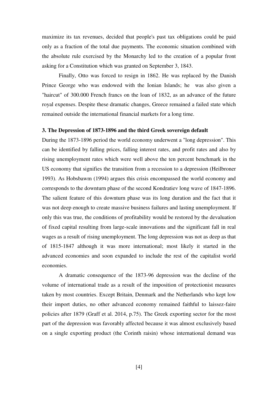maximize its tax revenues, decided that people's past tax obligations could be paid only as a fraction of the total due payments. The economic situation combined with the absolute rule exercised by the Monarchy led to the creation of a popular front asking for a Constitution which was granted on September 3, 1843.

 Finally, Otto was forced to resign in 1862. He was replaced by the Danish Prince George who was endowed with the Ionian Islands; he was also given a "haircut" of 300.000 French francs on the loan of 1832, as an advance of the future royal expenses. Despite these dramatic changes, Greece remained a failed state which remained outside the international financial markets for a long time.

## **3. The Depression of 1873-1896 and the third Greek sovereign default**

During the 1873-1896 period the world economy underwent a "long depression". This can be identified by falling prices, falling interest rates, and profit rates and also by rising unemployment rates which were well above the ten percent benchmark in the US economy that signifies the transition from a recession to a depression (Heilbroner 1993). As Hobsbawm (1994) argues this crisis encompassed the world economy and corresponds to the downturn phase of the second Kondratiev long wave of 1847-1896. The salient feature of this downturn phase was its long duration and the fact that it was not deep enough to create massive business failures and lasting unemployment. If only this was true, the conditions of profitability would be restored by the devaluation of fixed capital resulting from large-scale innovations and the significant fall in real wages as a result of rising unemployment. The long depression was not as deep as that of 1815-1847 although it was more international; most likely it started in the advanced economies and soon expanded to include the rest of the capitalist world economies.

 A dramatic consequence of the 1873-96 depression was the decline of the volume of international trade as a result of the imposition of protectionist measures taken by most countries. Except Britain, Denmark and the Netherlands who kept low their import duties, no other advanced economy remained faithful to laissez-faire policies after 1879 (Graff et al. 2014, p.75). The Greek exporting sector for the most part of the depression was favorably affected because it was almost exclusively based on a single exporting product (the Corinth raisin) whose international demand was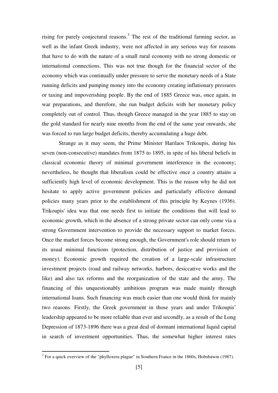rising for purely conjectural reasons.<sup>3</sup> The rest of the traditional farming sector, as well as the infant Greek industry, were not affected in any serious way for reasons that have to do with the nature of a small rural economy with no strong domestic or international connections. This was not true though for the financial sector of the economy which was continually under pressure to serve the monetary needs of a State running deficits and pumping money into the economy creating inflationary pressures or taxing and impoverishing people. By the end of 1885 Greece was, once again, in war preparations, and therefore, she run budget deficits with her monetary policy completely out of control. Thus, though Greece managed in the year 1885 to stay on the gold standard for nearly nine months from the end of the same year onwards, she was forced to run large budget deficits, thereby accumulating a huge debt.

 Strange as it may seem, the Prime Minister Harilaos Trikoupis, during his seven (non-consecutive) mandates from 1875 to 1895, in spite of his liberal beliefs in classical economic theory of minimal government interference in the economy; nevertheless, he thought that liberalism could be effective once a country attains a sufficiently high level of economic development. This is the reason why he did not hesitate to apply active government policies and particularly effective demand policies many years prior to the establishment of this principle by Keynes (1936). Trikoupis' idea was that one needs first to initiate the conditions that will lead to economic growth, which in the absence of a strong private sector can only come via a strong Government intervention to provide the necessary support to market forces. Once the market forces become strong enough, the Government's role should return to its usual minimal functions (protection, distribution of justice and provision of money). Economic growth required the creation of a large-scale infrastructure investment projects (road and railway networks, harbors, desiccative works and the like) and also tax reforms and the reorganization of the state and the army. The financing of this unquestionably ambitious program was made mainly through international loans. Such financing was much easier than one would think for mainly two reasons. Firstly, the Greek government in those years and under Trikoupis' leadership appeared to be more reliable than ever and secondly, as a result of the Long Depression of 1873-1896 there was a great deal of dormant international liquid capital in search of investment opportunities. Thus, the somewhat higher interest rates

<sup>&</sup>lt;sup>3</sup> For a quick overview of the "phylloxera plague" in Southern France in the 1860s, Hobsbawm (1987).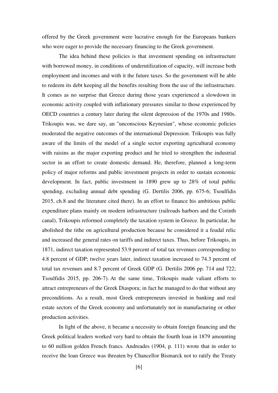offered by the Greek government were lucrative enough for the Europeans bankers who were eager to provide the necessary financing to the Greek government.

 The idea behind these policies is that investment spending on infrastructure with borrowed money, in conditions of underutilization of capacity, will increase both employment and incomes and with it the future taxes. So the government will be able to redeem its debt keeping all the benefits resulting from the use of the infrastructure. It comes as no surprise that Greece during those years experienced a slowdown in economic activity coupled with inflationary pressures similar to those experienced by OECD countries a century later during the silent depression of the 1970s and 1980s. Trikoupis was, we dare say, an "unconscious Keynesian", whose economic policies moderated the negative outcomes of the international Depression. Trikoupis was fully aware of the limits of the model of a single sector exporting agricultural economy with raisins as the major exporting product and he tried to strengthen the industrial sector in an effort to create domestic demand. He, therefore, planned a long-term policy of major reforms and public investment projects in order to sustain economic development. In fact, public investment in 1890 grew up to 28% of total public spending, excluding annual debt spending (G. Dertilis 2006, pp. 675-6; Tsoulfidis 2015, ch.8 and the literature cited there). In an effort to finance his ambitious public expenditure plans mainly on modern infrastructure (railroads harbors and the Corinth canal), Trikoupis reformed completely the taxation system in Greece. In particular, he abolished the tithe on agricultural production because he considered it a feudal relic and increased the general rates on tariffs and indirect taxes. Thus, before Trikoupis, in 1871, indirect taxation represented 53.9 percent of total tax revenues corresponding to 4.8 percent of GDP; twelve years later, indirect taxation increased to 74.3 percent of total tax revenues and 8.7 percent of Greek GDP (G. Dertilis 2006 pp. 714 and 722; Tsoulfidis 2015, pp. 206-7). At the same time, Trikoupis made valiant efforts to attract entrepreneurs of the Greek Diaspora; in fact he managed to do that without any preconditions. As a result, most Greek entrepreneurs invested in banking and real estate sectors of the Greek economy and unfortunately not in manufacturing or other production activities.

 In light of the above, it became a necessity to obtain foreign financing and the Greek political leaders worked very hard to obtain the fourth loan in 1879 amounting to 60 million golden French francs. Andreades (1904, p. 111) wrote that in order to receive the loan Greece was threaten by Chancellor Bismarck not to ratify the Treaty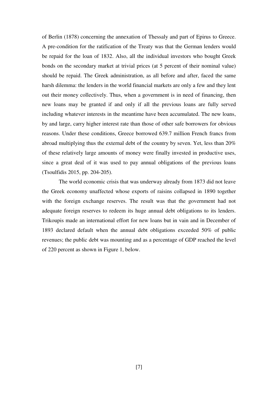of Berlin (1878) concerning the annexation of Thessaly and part of Epirus to Greece. A pre-condition for the ratification of the Treaty was that the German lenders would be repaid for the loan of 1832. Also, all the individual investors who bought Greek bonds on the secondary market at trivial prices (at 5 percent of their nominal value) should be repaid. The Greek administration, as all before and after, faced the same harsh dilemma: the lenders in the world financial markets are only a few and they lent out their money collectively. Thus, when a government is in need of financing, then new loans may be granted if and only if all the previous loans are fully served including whatever interests in the meantime have been accumulated. The new loans, by and large, carry higher interest rate than those of other safe borrowers for obvious reasons. Under these conditions, Greece borrowed 639.7 million French francs from abroad multiplying thus the external debt of the country by seven. Yet, less than 20% of these relatively large amounts of money were finally invested in productive uses, since a great deal of it was used to pay annual obligations of the previous loans (Tsoulfidis 2015, pp. 204-205).

 The world economic crisis that was underway already from 1873 did not leave the Greek economy unaffected whose exports of raisins collapsed in 1890 together with the foreign exchange reserves. The result was that the government had not adequate foreign reserves to redeem its huge annual debt obligations to its lenders. Trikoupis made an international effort for new loans but in vain and in December of 1893 declared default when the annual debt obligations exceeded 50% of public revenues; the public debt was mounting and as a percentage of GDP reached the level of 220 percent as shown in Figure 1, below.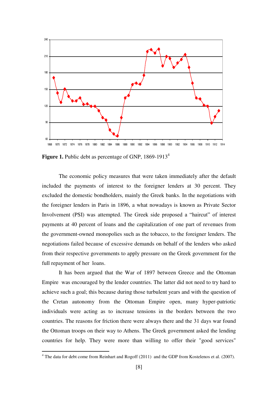

Figure 1. Public debt as percentage of GNP, 1869-1913<sup>4</sup>

 The economic policy measures that were taken immediately after the default included the payments of interest to the foreigner lenders at 30 percent. They excluded the domestic bondholders, mainly the Greek banks. In the negotiations with the foreigner lenders in Paris in 1896, a what nowadays is known as Private Sector Involvement (PSI) was attempted. The Greek side proposed a "haircut" of interest payments at 40 percent of loans and the capitalization of one part of revenues from the government-owned monopolies such as the tobacco, to the foreigner lenders. The negotiations failed because of excessive demands on behalf of the lenders who asked from their respective governments to apply pressure on the Greek government for the full repayment of her loans.

 It has been argued that the War of 1897 between Greece and the Ottoman Empire was encouraged by the lender countries. The latter did not need to try hard to achieve such a goal; this because during those turbulent years and with the question of the Cretan autonomy from the Ottoman Empire open, many hyper-patriotic individuals were acting as to increase tensions in the borders between the two countries. The reasons for friction there were always there and the 31 days war found the Ottoman troops on their way to Athens. The Greek government asked the lending countries for help. They were more than willing to offer their "good services"

 4 The data for debt come from Reinhart and Rogoff (2011) and the GDP from Kostelenos et al. (2007).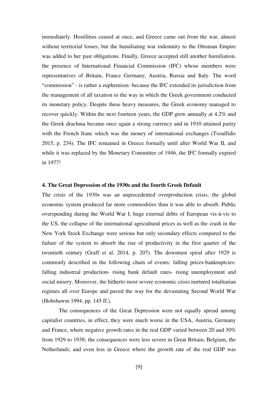immediately. Hostilities ceased at once, and Greece came out from the war, almost without territorial losses, but the humiliating war indemnity to the Ottoman Empire was added to her past obligations. Finally, Greece accepted still another humiliation, the presence of International Financial Commission (IFC) whose members were representatives of Britain, France Germany, Austria, Russia and Italy. The word "commission" - is rather a euphemism- because the IFC extended its jurisdiction from the management of all taxation to the way in which the Greek government conducted its monetary policy. Despite these heavy measures, the Greek economy managed to recover quickly. Within the next fourteen years, the GDP grew annually at 4.2% and the Greek drachma became once again a strong currency and in 1910 attained parity with the French franc which was the money of international exchanges (Tsoulfidis 2015, p. 234). The IFC remained in Greece formally until after World War II, and while it was replaced by the Monetary Committee of 1946, the IFC formally expired in 1977!

### **4. The Great Depression of the 1930s and the fourth Greek Default**

The crisis of the 1930s was an unprecedented overproduction crisis, the global economic system produced far more commodities than it was able to absorb. Public overspending during the World War I, huge external debts of European vis-à-vis to the US, the collapse of the international agricultural prices as well as the crash in the New York Stock Exchange were serious but only secondary effects compared to the failure of the system to absorb the rise of productivity in the first quarter of the twentieth century (Graff et al. 2014, p. 207). The downturn spiral after 1929 is commonly described in the following chain of events: falling prices-bankruptciesfalling industrial production- rising bank default rates- rising unemployment and social misery. Moreover, the hitherto most severe economic crisis nurtured totalitarian regimes all over Europe and paved the way for the devastating Second World War (Hobsbawm 1994, pp. 145 ff.).

The consequences of the Great Depression were not equally spread among capitalist countries, in effect, they were much worse in the USA, Austria, Germany and France, where negative growth rates in the real GDP varied between 20 and 30% from 1929 to 1938; the consequences were less severe in Great Britain, Belgium, the Netherlands; and even less in Greece where the growth rate of the real GDP was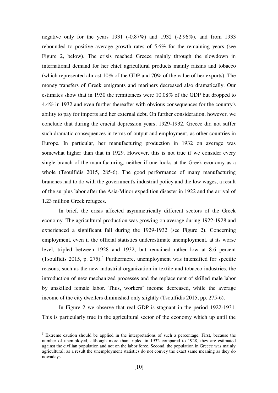negative only for the years 1931 (-0.87%) and 1932 (-2.96%), and from 1933 rebounded to positive average growth rates of 5.6% for the remaining years (see Figure 2, below). The crisis reached Greece mainly through the slowdown in international demand for her chief agricultural products mainly raisins and tobacco (which represented almost 10% of the GDP and 70% of the value of her exports). The money transfers of Greek emigrants and mariners decreased also dramatically. Our estimates show that in 1930 the remittances were 10.08% of the GDP but dropped to 4.4% in 1932 and even further thereafter with obvious consequences for the country's ability to pay for imports and her external debt. On further consideration, however, we conclude that during the crucial depression years, 1929-1932, Greece did not suffer such dramatic consequences in terms of output and employment, as other countries in Europe. In particular, her manufacturing production in 1932 on average was somewhat higher than that in 1929. However, this is not true if we consider every single branch of the manufacturing, neither if one looks at the Greek economy as a whole (Tsoulfidis 2015, 285-6). The good performance of many manufacturing branches had to do with the government's industrial policy and the low wages, a result of the surplus labor after the Asia-Minor expedition disaster in 1922 and the arrival of 1.23 million Greek refugees.

 In brief, the crisis affected asymmetrically different sectors of the Greek economy. The agricultural production was growing on average during 1922-1928 and experienced a significant fall during the 1929-1932 (see Figure 2). Concerning employment, even if the official statistics underestimate unemployment, at its worse level, tripled between 1928 and 1932, but remained rather low at 8.6 percent (Tsoulfidis 2015, p.  $275$ ).<sup>5</sup> Furthermore, unemployment was intensified for specific reasons, such as the new industrial organization in textile and tobacco industries, the introduction of new mechanized processes and the replacement of skilled male labor by unskilled female labor. Thus, workers' income decreased, while the average income of the city dwellers diminished only slightly (Tsoulfidis 2015, pp. 275-6).

 In Figure 2 we observe that real GDP is stagnant in the period 1922-1931. This is particularly true in the agricultural sector of the economy which up until the

-

<sup>&</sup>lt;sup>5</sup> Extreme caution should be applied in the interpretations of such a percentage. First, because the number of unemployed, although more than tripled in 1932 compared to 1928, they are estimated against the civilian population and not on the labor force. Second, the population in Greece was mainly agricultural; as a result the unemployment statistics do not convey the exact same meaning as they do nowadays.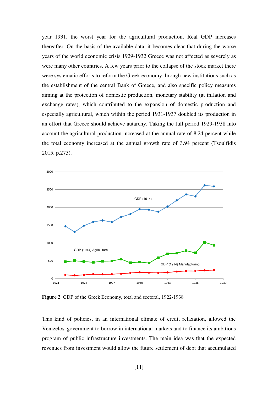year 1931, the worst year for the agricultural production. Real GDP increases thereafter. On the basis of the available data, it becomes clear that during the worse years of the world economic crisis 1929-1932 Greece was not affected as severely as were many other countries. A few years prior to the collapse of the stock market there were systematic efforts to reform the Greek economy through new institutions such as the establishment of the central Bank of Greece, and also specific policy measures aiming at the protection of domestic production, monetary stability (at inflation and exchange rates), which contributed to the expansion of domestic production and especially agricultural, which within the period 1931-1937 doubled its production in an effort that Greece should achieve autarchy. Taking the full period 1929-1938 into account the agricultural production increased at the annual rate of 8.24 percent while the total economy increased at the annual growth rate of 3.94 percent (Tsoulfidis 2015, p.273).



**Figure 2**. GDP of the Greek Economy, total and sectoral, 1922-1938

This kind of policies, in an international climate of credit relaxation, allowed the Venizelos' government to borrow in international markets and to finance its ambitious program of public infrastructure investments. The main idea was that the expected revenues from investment would allow the future settlement of debt that accumulated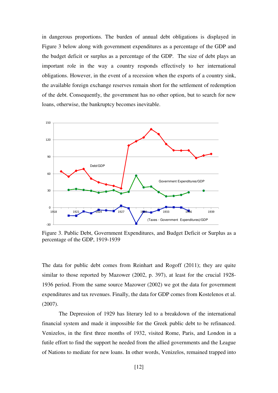in dangerous proportions. The burden of annual debt obligations is displayed in Figure 3 below along with government expenditures as a percentage of the GDP and the budget deficit or surplus as a percentage of the GDP. The size of debt plays an important role in the way a country responds effectively to her international obligations. However, in the event of a recession when the exports of a country sink, the available foreign exchange reserves remain short for the settlement of redemption of the debt. Consequently, the government has no other option, but to search for new loans, otherwise, the bankruptcy becomes inevitable.



Figure 3. Public Debt, Government Expenditures, and Budget Deficit or Surplus as a percentage of the GDP, 1919-1939

The data for public debt comes from Reinhart and Rogoff (2011); they are quite similar to those reported by Mazower (2002, p. 397), at least for the crucial 1928-1936 period. From the same source Μazower (2002) we got the data for government expenditures and tax revenues. Finally, the data for GDP comes from Kostelenos et al. (2007).

 The Depression of 1929 has literary led to a breakdown of the international financial system and made it impossible for the Greek public debt to be refinanced. Venizelos, in the first three months of 1932, visited Rome, Paris, and London in a futile effort to find the support he needed from the allied governments and the League of Nations to mediate for new loans. In other words, Venizelos, remained trapped into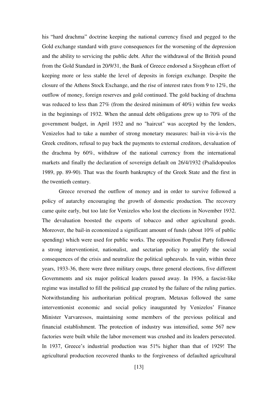his "hard drachma" doctrine keeping the national currency fixed and pegged to the Gold exchange standard with grave consequences for the worsening of the depression and the ability to servicing the public debt. After the withdrawal of the British pound from the Gold Standard in 20/9/31, the Bank of Greece endorsed a Sisyphean effort of keeping more or less stable the level of deposits in foreign exchange. Despite the closure of the Athens Stock Exchange, and the rise of interest rates from 9 to 12%, the outflow of money, foreign reserves and gold continued. The gold backing of drachma was reduced to less than 27% (from the desired minimum of 40%) within few weeks in the beginnings of 1932. When the annual debt obligations grew up to 70% of the government budget, in April 1932 and no "haircut" was accepted by the lenders, Venizelos had to take a number of strong monetary measures: bail-in vis-à-vis the Greek creditors, refusal to pay back the payments to external creditors, devaluation of the drachma by 60%, withdraw of the national currency from the international markets and finally the declaration of sovereign default on 26/4/1932 (Psalidopoulos 1989, pp. 89-90). That was the fourth bankruptcy of the Greek State and the first in the twentieth century.

 Greece reversed the outflow of money and in order to survive followed a policy of autarchy encouraging the growth of domestic production. The recovery came quite early, but too late for Venizelos who lost the elections in November 1932. The devaluation boosted the exports of tobacco and other agricultural goods. Moreover, the bail-in economized a significant amount of funds (about 10% of public spending) which were used for public works. The opposition Populist Party followed a strong interventionist, nationalist, and sectarian policy to amplify the social consequences of the crisis and neutralize the political upheavals. In vain, within three years, 1933-36, there were three military coups, three general elections, five different Governments and six major political leaders passed away. In 1936, a fascist-like regime was installed to fill the political gap created by the failure of the ruling parties. Notwithstanding his authoritarian political program, Metaxas followed the same interventionist economic and social policy inaugurated by Venizelos' Finance Minister Varvaressos, maintaining some members of the previous political and financial establishment. The protection of industry was intensified, some 567 new factories were built while the labor movement was crushed and its leaders persecuted. In 1937, Greece's industrial production was 51% higher than that of 1929! The agricultural production recovered thanks to the forgiveness of defaulted agricultural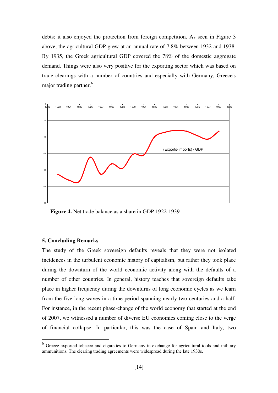debts; it also enjoyed the protection from foreign competition. As seen in Figure 3 above, the agricultural GDP grew at an annual rate of 7.8% between 1932 and 1938. By 1935, the Greek agricultural GDP covered the 78% of the domestic aggregate demand. Things were also very positive for the exporting sector which was based on trade clearings with a number of countries and especially with Germany, Greece's major trading partner.<sup>6</sup>



**Figure 4.** Net trade balance as a share in GDP 1922-1939

## **5. Concluding Remarks**

-

The study of the Greek sovereign defaults reveals that they were not isolated incidences in the turbulent economic history of capitalism, but rather they took place during the downturn of the world economic activity along with the defaults of a number of other countries. In general, history teaches that sovereign defaults take place in higher frequency during the downturns of long economic cycles as we learn from the five long waves in a time period spanning nearly two centuries and a half. For instance, in the recent phase-change of the world economy that started at the end of 2007, we witnessed a number of diverse EU economies coming close to the verge of financial collapse. In particular, this was the case of Spain and Italy, two

<sup>&</sup>lt;sup>6</sup> Greece exported tobacco and cigarettes to Germany in exchange for agricultural tools and military ammunitions. The clearing trading agreements were widespread during the late 1930s.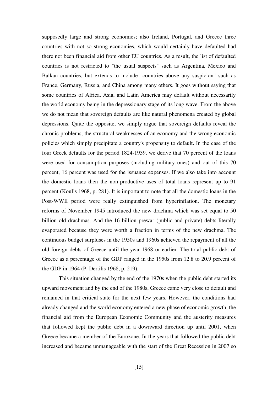supposedly large and strong economies; also Ireland, Portugal, and Greece three countries with not so strong economies, which would certainly have defaulted had there not been financial aid from other EU countries. As a result, the list of defaulted countries is not restricted to "the usual suspects" such as Argentina, Mexico and Balkan countries, but extends to include "countries above any suspicion" such as France, Germany, Russia, and China among many others. It goes without saying that some countries of Africa, Asia, and Latin America may default without necessarily the world economy being in the depressionary stage of its long wave. From the above we do not mean that sovereign defaults are like natural phenomena created by global depressions. Quite the opposite, we simply argue that sovereign defaults reveal the chronic problems, the structural weaknesses of an economy and the wrong economic policies which simply precipitate a country's propensity to default. In the case of the four Greek defaults for the period 1824-1939, we derive that 70 percent of the loans were used for consumption purposes (including military ones) and out of this 70 percent, 16 percent was used for the issuance expenses. If we also take into account the domestic loans then the non-productive uses of total loans represent up to 91 percent (Koulis 1968, p. 281). It is important to note that all the domestic loans in the Post-WWII period were really extinguished from hyperinflation. The monetary reforms of November 1945 introduced the new drachma which was set equal to 50 billion old drachmas. And the 16 billion prewar (public and private) debts literally evaporated because they were worth a fraction in terms of the new drachma. The continuous budget surpluses in the 1950s and 1960s achieved the repayment of all the old foreign debts of Greece until the year 1968 or earlier. The total public debt of Greece as a percentage of the GDP ranged in the 1950s from 12.8 to 20.9 percent of the GDP in 1964 (P. Dertilis 1968, p. 219).

This situation changed by the end of the 1970s when the public debt started its upward movement and by the end of the 1980s, Greece came very close to default and remained in that critical state for the next few years. However, the conditions had already changed and the world economy entered a new phase of economic growth, the financial aid from the European Economic Community and the austerity measures that followed kept the public debt in a downward direction up until 2001, when Greece became a member of the Eurozone. In the years that followed the public debt increased and became unmanageable with the start of the Great Recession in 2007 so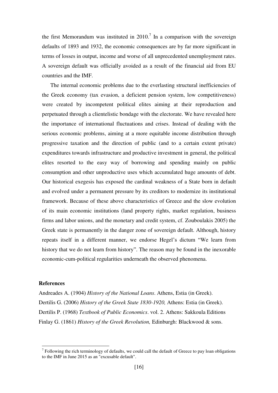the first Memorandum was instituted in 2010.<sup>7</sup> In a comparison with the sovereign defaults of 1893 and 1932, the economic consequences are by far more significant in terms of losses in output, income and worse of all unprecedented unemployment rates. A sovereign default was officially avoided as a result of the financial aid from EU countries and the IMF.

The internal economic problems due to the everlasting structural inefficiencies of the Greek economy (tax evasion, a deficient pension system, low competitiveness) were created by incompetent political elites aiming at their reproduction and perpetuated through a clientelistic bondage with the electorate. We have revealed here the importance of international fluctuations and crises. Instead of dealing with the serious economic problems, aiming at a more equitable income distribution through progressive taxation and the direction of public (and to a certain extent private) expenditures towards infrastructure and productive investment in general, the political elites resorted to the easy way of borrowing and spending mainly on public consumption and other unproductive uses which accumulated huge amounts of debt. Our historical exegesis has exposed the cardinal weakness of a State born in default and evolved under a permanent pressure by its creditors to modernize its institutional framework. Because of these above characteristics of Greece and the slow evolution of its main economic institutions (land property rights, market regulation, business firms and labor unions, and the monetary and credit system, cf. Zouboulakis 2005) the Greek state is permanently in the danger zone of sovereign default. Although, history repeats itself in a different manner, we endorse Hegel's dictum "We learn from history that we do not learn from history". The reason may be found in the inexorable economic-cum-political regularities underneath the observed phenomena.

## **References**

-

Andreades Α. (1904) *History of the National Loans*. Athens, Estia (in Greek). Dertilis G. (2006) *History of the Greek State 1830-1920,* Athens: Estia (in Greek). Dertilis P. (1968) *Textbook of Public Economics*. vol. 2. Athens: Sakkoula Editions Finlay G. (1861) *History of the Greek Revolution,* Edinburgh: Blackwood & sons.

 $<sup>7</sup>$  Following the rich terminology of defaults, we could call the default of Greece to pay loan obligations</sup> to the IMF in June 2015 as an "excusable default".